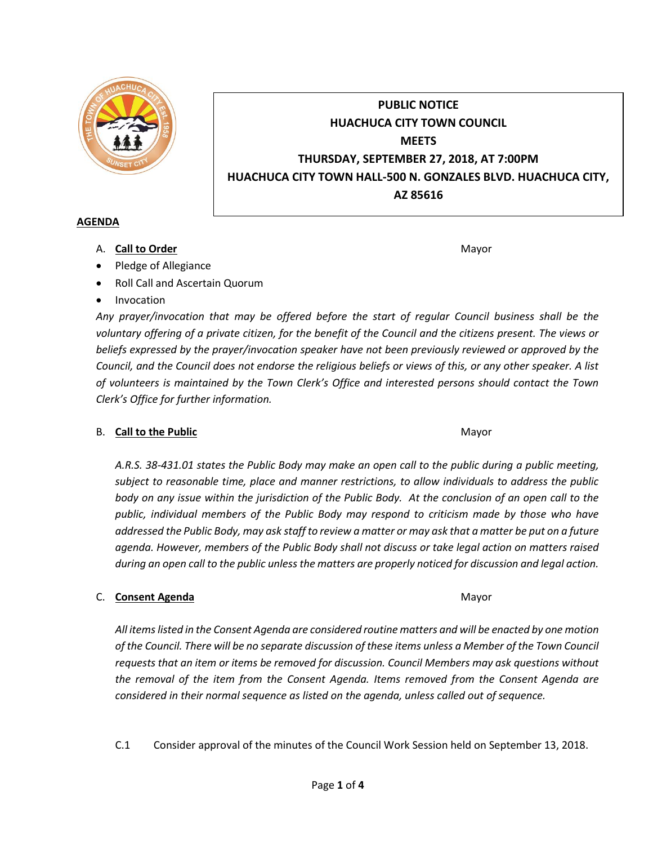

# **PUBLIC NOTICE HUACHUCA CITY TOWN COUNCIL MEETS THURSDAY, SEPTEMBER 27, 2018, AT 7:00PM HUACHUCA CITY TOWN HALL-500 N. GONZALES BLVD. HUACHUCA CITY, AZ 85616**

### **AGENDA**

A. **Call to Order** Mayor **Mayor** Mayor **Mayor** Mayor **Mayor** 

- Pledge of Allegiance
- Roll Call and Ascertain Quorum
- Invocation

*Any prayer/invocation that may be offered before the start of regular Council business shall be the voluntary offering of a private citizen, for the benefit of the Council and the citizens present. The views or beliefs expressed by the prayer/invocation speaker have not been previously reviewed or approved by the Council, and the Council does not endorse the religious beliefs or views of this, or any other speaker. A list of volunteers is maintained by the Town Clerk's Office and interested persons should contact the Town Clerk's Office for further information.*

# B. **Call to the Public** Mayor **Mayor** Mayor **Mayor** Mayor

*A.R.S. 38-431.01 states the Public Body may make an open call to the public during a public meeting, subject to reasonable time, place and manner restrictions, to allow individuals to address the public body on any issue within the jurisdiction of the Public Body. At the conclusion of an open call to the public, individual members of the Public Body may respond to criticism made by those who have addressed the Public Body, may ask staff to review a matter or may ask that a matter be put on a future agenda. However, members of the Public Body shall not discuss or take legal action on matters raised during an open call to the public unless the matters are properly noticed for discussion and legal action.*

# C. **Consent Agenda** Mayor **C. Consent Agenda** Mayor **Mayor**

*All items listed in the Consent Agenda are considered routine matters and will be enacted by one motion of the Council. There will be no separate discussion of these items unless a Member of the Town Council requests that an item or items be removed for discussion. Council Members may ask questions without the removal of the item from the Consent Agenda. Items removed from the Consent Agenda are considered in their normal sequence as listed on the agenda, unless called out of sequence.*

C.1 Consider approval of the minutes of the Council Work Session held on September 13, 2018.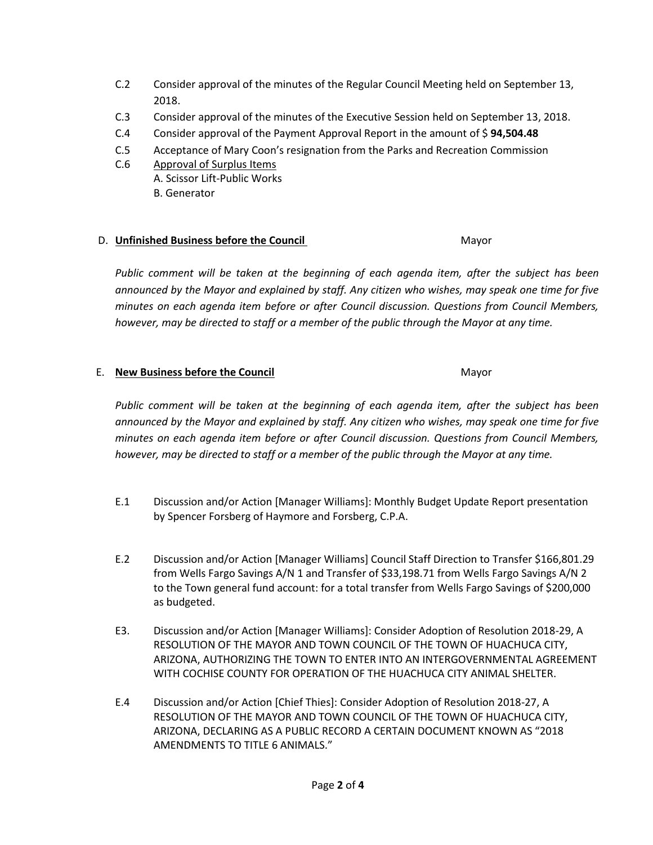- C.2 Consider approval of the minutes of the Regular Council Meeting held on September 13, 2018.
- C.3 Consider approval of the minutes of the Executive Session held on September 13, 2018.
- C.4 Consider approval of the Payment Approval Report in the amount of \$ **94,504.48**
- C.5 Acceptance of Mary Coon's resignation from the Parks and Recreation Commission
- C.6 Approval of Surplus Items
	- A. Scissor Lift-Public Works
	- B. Generator

### D. **Unfinished Business before the Council** Mayor

*Public comment will be taken at the beginning of each agenda item, after the subject has been announced by the Mayor and explained by staff. Any citizen who wishes, may speak one time for five minutes on each agenda item before or after Council discussion. Questions from Council Members, however, may be directed to staff or a member of the public through the Mayor at any time.*

#### E. **New Business before the Council** Mayor

*Public comment will be taken at the beginning of each agenda item, after the subject has been announced by the Mayor and explained by staff. Any citizen who wishes, may speak one time for five minutes on each agenda item before or after Council discussion. Questions from Council Members, however, may be directed to staff or a member of the public through the Mayor at any time.*

- E.1 Discussion and/or Action [Manager Williams]: Monthly Budget Update Report presentation by Spencer Forsberg of Haymore and Forsberg, C.P.A.
- E.2 Discussion and/or Action [Manager Williams] Council Staff Direction to Transfer \$166,801.29 from Wells Fargo Savings A/N 1 and Transfer of \$33,198.71 from Wells Fargo Savings A/N 2 to the Town general fund account: for a total transfer from Wells Fargo Savings of \$200,000 as budgeted.
- E3. Discussion and/or Action [Manager Williams]: Consider Adoption of Resolution 2018-29, A RESOLUTION OF THE MAYOR AND TOWN COUNCIL OF THE TOWN OF HUACHUCA CITY, ARIZONA, AUTHORIZING THE TOWN TO ENTER INTO AN INTERGOVERNMENTAL AGREEMENT WITH COCHISE COUNTY FOR OPERATION OF THE HUACHUCA CITY ANIMAL SHELTER.
- E.4 Discussion and/or Action [Chief Thies]: Consider Adoption of Resolution 2018-27, A RESOLUTION OF THE MAYOR AND TOWN COUNCIL OF THE TOWN OF HUACHUCA CITY, ARIZONA, DECLARING AS A PUBLIC RECORD A CERTAIN DOCUMENT KNOWN AS "2018 AMENDMENTS TO TITLE 6 ANIMALS."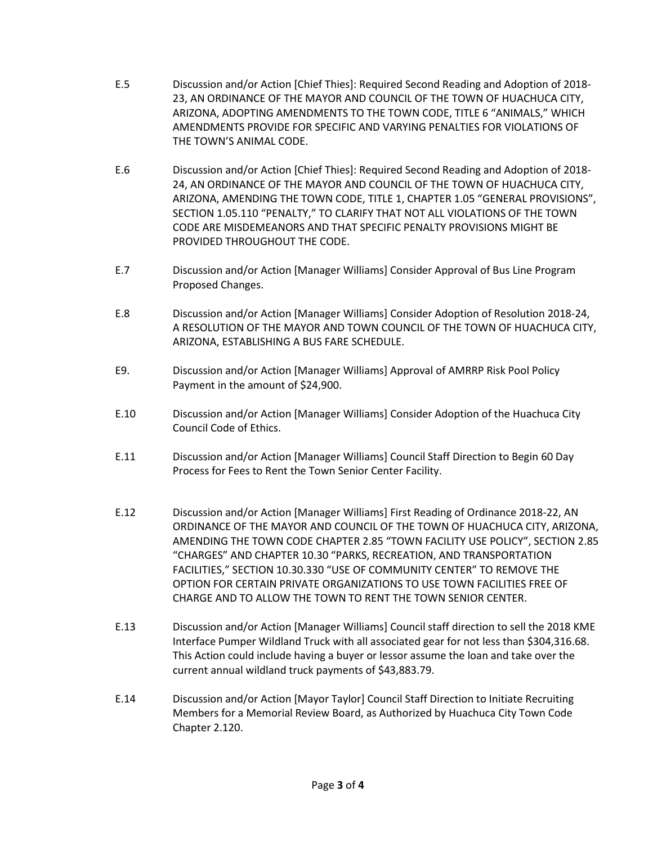- E.5 Discussion and/or Action [Chief Thies]: Required Second Reading and Adoption of 2018- 23, AN ORDINANCE OF THE MAYOR AND COUNCIL OF THE TOWN OF HUACHUCA CITY, ARIZONA, ADOPTING AMENDMENTS TO THE TOWN CODE, TITLE 6 "ANIMALS," WHICH AMENDMENTS PROVIDE FOR SPECIFIC AND VARYING PENALTIES FOR VIOLATIONS OF THE TOWN'S ANIMAL CODE.
- E.6 Discussion and/or Action [Chief Thies]: Required Second Reading and Adoption of 2018- 24, AN ORDINANCE OF THE MAYOR AND COUNCIL OF THE TOWN OF HUACHUCA CITY, ARIZONA, AMENDING THE TOWN CODE, TITLE 1, CHAPTER 1.05 "GENERAL PROVISIONS", SECTION 1.05.110 "PENALTY," TO CLARIFY THAT NOT ALL VIOLATIONS OF THE TOWN CODE ARE MISDEMEANORS AND THAT SPECIFIC PENALTY PROVISIONS MIGHT BE PROVIDED THROUGHOUT THE CODE.
- E.7 Discussion and/or Action [Manager Williams] Consider Approval of Bus Line Program Proposed Changes.
- E.8 Discussion and/or Action [Manager Williams] Consider Adoption of Resolution 2018-24, A RESOLUTION OF THE MAYOR AND TOWN COUNCIL OF THE TOWN OF HUACHUCA CITY, ARIZONA, ESTABLISHING A BUS FARE SCHEDULE.
- E9. Discussion and/or Action [Manager Williams] Approval of AMRRP Risk Pool Policy Payment in the amount of \$24,900.
- E.10 Discussion and/or Action [Manager Williams] Consider Adoption of the Huachuca City Council Code of Ethics.
- E.11 Discussion and/or Action [Manager Williams] Council Staff Direction to Begin 60 Day Process for Fees to Rent the Town Senior Center Facility.
- E.12 Discussion and/or Action [Manager Williams] First Reading of Ordinance 2018-22, AN ORDINANCE OF THE MAYOR AND COUNCIL OF THE TOWN OF HUACHUCA CITY, ARIZONA, AMENDING THE TOWN CODE CHAPTER 2.85 "TOWN FACILITY USE POLICY", SECTION 2.85 "CHARGES" AND CHAPTER 10.30 "PARKS, RECREATION, AND TRANSPORTATION FACILITIES," SECTION 10.30.330 "USE OF COMMUNITY CENTER" TO REMOVE THE OPTION FOR CERTAIN PRIVATE ORGANIZATIONS TO USE TOWN FACILITIES FREE OF CHARGE AND TO ALLOW THE TOWN TO RENT THE TOWN SENIOR CENTER.
- E.13 Discussion and/or Action [Manager Williams] Council staff direction to sell the 2018 KME Interface Pumper Wildland Truck with all associated gear for not less than \$304,316.68. This Action could include having a buyer or lessor assume the loan and take over the current annual wildland truck payments of \$43,883.79.
- E.14 Discussion and/or Action [Mayor Taylor] Council Staff Direction to Initiate Recruiting Members for a Memorial Review Board, as Authorized by Huachuca City Town Code Chapter 2.120.